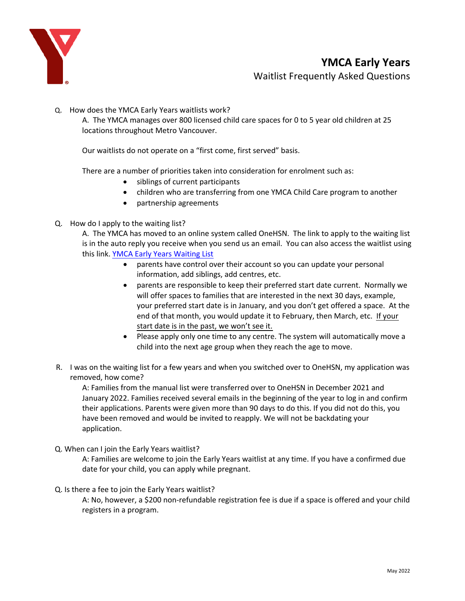

Q. How does the YMCA Early Years waitlists work?

A. The YMCA manages over 800 licensed child care spaces for 0 to 5 year old children at 25 locations throughout Metro Vancouver.

Our waitlists do not operate on a "first come, first served" basis.

There are a number of priorities taken into consideration for enrolment such as:

- siblings of current participants
- children who are transferring from one YMCA Child Care program to another
- partnership agreements
- Q. How do I apply to the waiting list?

A. The YMCA has moved to an online system called OneHSN. The link to apply to the waiting list is in the auto reply you receive when you send us an email. You can also access the waitlist using this link. YMCA [Early Years Waiting List](https://can01.safelinks.protection.outlook.com/?url=https%3A%2F%2Fwww.gv.ymca.ca%2Fchild-care&data=04%7C01%7Csherry.kovach%40gv.ymca.ca%7C083916161850431d564a08d9d9f318b2%7C9e837cb20b164ddcb035131ee49a2afd%7C1%7C0%7C637780460372751804%7CUnknown%7CTWFpbGZsb3d8eyJWIjoiMC4wLjAwMDAiLCJQIjoiV2luMzIiLCJBTiI6Ik1haWwiLCJXVCI6Mn0%3D%7C3000&sdata=WyBvCddBKPlq5CVak21yNZL5tJ0Mg%2FDOv5%2B0fzCXo10%3D&reserved=0)

- parents have control over their account so you can update your personal information, add siblings, add centres, etc.
- parents are responsible to keep their preferred start date current. Normally we will offer spaces to families that are interested in the next 30 days, example, your preferred start date is in January, and you don't get offered a space. At the end of that month, you would update it to February, then March, etc. If your start date is in the past, we won't see it.
- Please apply only one time to any centre. The system will automatically move a child into the next age group when they reach the age to move.
- R. I was on the waiting list for a few years and when you switched over to OneHSN, my application was removed, how come?

A: Families from the manual list were transferred over to OneHSN in December 2021 and January 2022. Families received several emails in the beginning of the year to log in and confirm their applications. Parents were given more than 90 days to do this. If you did not do this, you have been removed and would be invited to reapply. We will not be backdating your application.

Q. When can I join the Early Years waitlist?

A: Families are welcome to join the Early Years waitlist at any time. If you have a confirmed due date for your child, you can apply while pregnant.

Q. Is there a fee to join the Early Years waitlist?

A: No, however, a \$200 non-refundable registration fee is due if a space is offered and your child registers in a program.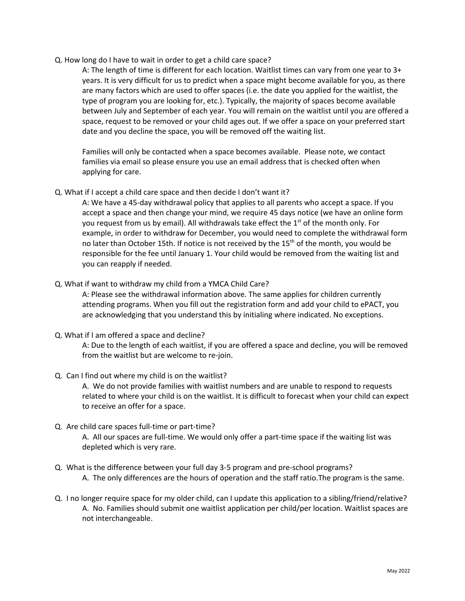Q. How long do I have to wait in order to get a child care space?

A: The length of time is different for each location. Waitlist times can vary from one year to 3+ years. It is very difficult for us to predict when a space might become available for you, as there are many factors which are used to offer spaces (i.e. the date you applied for the waitlist, the type of program you are looking for, etc.). Typically, the majority of spaces become available between July and September of each year. You will remain on the waitlist until you are offered a space, request to be removed or your child ages out. If we offer a space on your preferred start date and you decline the space, you will be removed off the waiting list.

Families will only be contacted when a space becomes available. Please note, we contact families via email so please ensure you use an email address that is checked often when applying for care.

Q. What if I accept a child care space and then decide I don't want it?

A: We have a 45-day withdrawal policy that applies to all parents who accept a space. If you accept a space and then change your mind, we require 45 days notice (we have an online form you request from us by email). All withdrawals take effect the 1<sup>st</sup> of the month only. For example, in order to withdraw for December, you would need to complete the withdrawal form no later than October 15th. If notice is not received by the  $15<sup>th</sup>$  of the month, you would be responsible for the fee until January 1. Your child would be removed from the waiting list and you can reapply if needed.

Q. What if want to withdraw my child from a YMCA Child Care?

A: Please see the withdrawal information above. The same applies for children currently attending programs. When you fill out the registration form and add your child to ePACT, you are acknowledging that you understand this by initialing where indicated. No exceptions.

Q. What if I am offered a space and decline?

A: Due to the length of each waitlist, if you are offered a space and decline, you will be removed from the waitlist but are welcome to re-join.

Q. Can I find out where my child is on the waitlist?

A. We do not provide families with waitlist numbers and are unable to respond to requests related to where your child is on the waitlist. It is difficult to forecast when your child can expect to receive an offer for a space.

Q. Are child care spaces full-time or part-time?

A. All our spaces are full-time. We would only offer a part-time space if the waiting list was depleted which is very rare.

- Q. What is the difference between your full day 3-5 program and pre-school programs? A. The only differences are the hours of operation and the staff ratio.The program is the same.
- Q. I no longer require space for my older child, can I update this application to a sibling/friend/relative? A. No. Families should submit one waitlist application per child/per location. Waitlist spaces are not interchangeable.